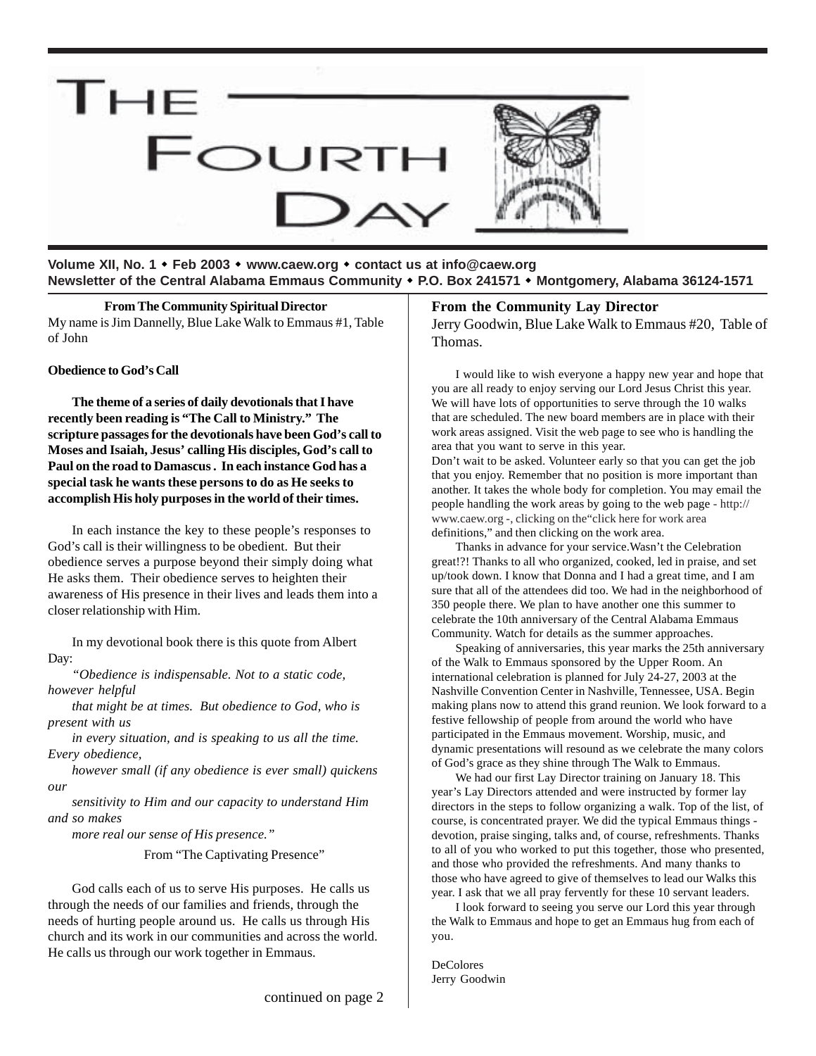

**Volume XII, No. 1** ! **Feb 2003** ! **www.caew.org** ! **contact us at info@caew.org Newsletter of the Central Alabama Emmaus Community** ! **P.O. Box 241571** ! **Montgomery, Alabama 36124-1571**

**From The Community Spiritual Director** My name is Jim Dannelly, Blue Lake Walk to Emmaus #1, Table of John

#### **Obedience to God's Call**

**The theme of a series of daily devotionals that I have recently been reading is "The Call to Ministry." The scripture passages for the devotionals have been God's call to Moses and Isaiah, Jesus' calling His disciples, God's call to Paul on the road to Damascus . In each instance God has a special task he wants these persons to do as He seeks to accomplish His holy purposes in the world of their times.**

In each instance the key to these people's responses to God's call is their willingness to be obedient. But their obedience serves a purpose beyond their simply doing what He asks them. Their obedience serves to heighten their awareness of His presence in their lives and leads them into a closer relationship with Him.

In my devotional book there is this quote from Albert Day:

*"Obedience is indispensable. Not to a static code, however helpful*

*that might be at times. But obedience to God, who is present with us*

*in every situation, and is speaking to us all the time. Every obedience,*

*however small (if any obedience is ever small) quickens our*

*sensitivity to Him and our capacity to understand Him and so makes*

*more real our sense of His presence."*

From "The Captivating Presence"

God calls each of us to serve His purposes. He calls us through the needs of our families and friends, through the needs of hurting people around us. He calls us through His church and its work in our communities and across the world. He calls us through our work together in Emmaus.

#### **From the Community Lay Director**

Jerry Goodwin, Blue Lake Walk to Emmaus #20, Table of Thomas.

I would like to wish everyone a happy new year and hope that you are all ready to enjoy serving our Lord Jesus Christ this year. We will have lots of opportunities to serve through the 10 walks that are scheduled. The new board members are in place with their work areas assigned. Visit the web page to see who is handling the area that you want to serve in this year.

Don't wait to be asked. Volunteer early so that you can get the job that you enjoy. Remember that no position is more important than another. It takes the whole body for completion. You may email the people handling the work areas by going to the web page - http:// www.caew.org -, clicking on the"click here for work area definitions," and then clicking on the work area.

Thanks in advance for your service.Wasn't the Celebration great!?! Thanks to all who organized, cooked, led in praise, and set up/took down. I know that Donna and I had a great time, and I am sure that all of the attendees did too. We had in the neighborhood of 350 people there. We plan to have another one this summer to celebrate the 10th anniversary of the Central Alabama Emmaus Community. Watch for details as the summer approaches.

Speaking of anniversaries, this year marks the 25th anniversary of the Walk to Emmaus sponsored by the Upper Room. An international celebration is planned for July 24-27, 2003 at the Nashville Convention Center in Nashville, Tennessee, USA. Begin making plans now to attend this grand reunion. We look forward to a festive fellowship of people from around the world who have participated in the Emmaus movement. Worship, music, and dynamic presentations will resound as we celebrate the many colors of God's grace as they shine through The Walk to Emmaus.

We had our first Lay Director training on January 18. This year's Lay Directors attended and were instructed by former lay directors in the steps to follow organizing a walk. Top of the list, of course, is concentrated prayer. We did the typical Emmaus things devotion, praise singing, talks and, of course, refreshments. Thanks to all of you who worked to put this together, those who presented, and those who provided the refreshments. And many thanks to those who have agreed to give of themselves to lead our Walks this year. I ask that we all pray fervently for these 10 servant leaders.

I look forward to seeing you serve our Lord this year through the Walk to Emmaus and hope to get an Emmaus hug from each of you.

DeColores Jerry Goodwin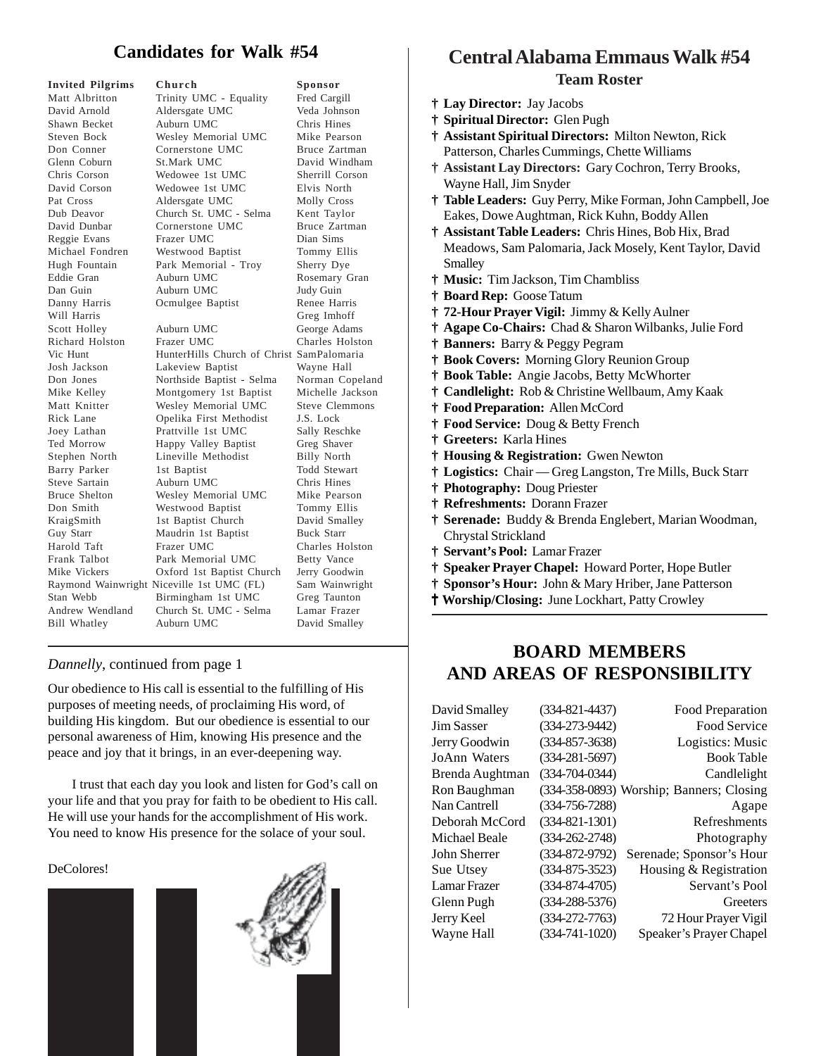## **Candidates for Walk #54**

| <b>Invited Pilgrims</b> | Church                                    | Sponsor               |
|-------------------------|-------------------------------------------|-----------------------|
| Matt Albritton          | Trinity UMC - Equality                    | Fred Cargill          |
| David Arnold            | Aldersgate UMC                            | Veda Johnson          |
| Shawn Becket            | Auburn UMC                                | Chris Hines           |
| Steven Bock             | Wesley Memorial UMC                       | Mike Pearson          |
| Don Conner              | Cornerstone UMC                           | Bruce Zartman         |
| Glenn Coburn            | St.Mark UMC                               | David Windham         |
| Chris Corson            | Wedowee 1st UMC                           | Sherrill Corson       |
| David Corson            | Wedowee 1st UMC                           | Elvis North           |
| Pat Cross               | Aldersgate UMC                            | Molly Cross           |
| Dub Deavor              | Church St. UMC - Selma                    | Kent Taylor           |
| David Dunbar            | Cornerstone UMC                           | Bruce Zartman         |
| Reggie Evans            | Frazer UMC                                | Dian Sims             |
| Michael Fondren         | Westwood Baptist                          | Tommy Ellis           |
| Hugh Fountain           | Park Memorial - Troy                      | Sherry Dye            |
| Eddie Gran              | Auburn UMC                                | Rosemary Gran         |
| Dan Guin                | Auburn UMC                                | Judy Guin             |
| Danny Harris            | Ocmulgee Baptist                          | Renee Harris          |
| Will Harris             |                                           | Greg Imhoff           |
| Scott Holley            | Auburn UMC                                | George Adams          |
| Richard Holston         | Frazer UMC                                | Charles Holston       |
| Vic Hunt                | HunterHills Church of Christ SamPalomaria |                       |
| Josh Jackson            | Lakeview Baptist                          | Wayne Hall            |
| Don Jones               | Northside Baptist - Selma                 | Norman Copeland       |
| Mike Kelley             | Montgomery 1st Baptist                    | Michelle Jackson      |
| Matt Knitter            | Wesley Memorial UMC                       | <b>Steve Clemmons</b> |
| Rick Lane               | Opelika First Methodist                   | J.S. Lock             |
| Joey Lathan             | Prattville 1st UMC                        | Sally Reschke         |
| Ted Morrow              | Happy Valley Baptist                      | Greg Shaver           |
| Stephen North           | Lineville Methodist                       | <b>Billy North</b>    |
| Barry Parker            | 1st Baptist                               | Todd Stewart          |
| Steve Sartain           | Auburn UMC                                | Chris Hines           |
| <b>Bruce Shelton</b>    | Wesley Memorial UMC                       | Mike Pearson          |
| Don Smith               | Westwood Baptist                          | Tommy Ellis           |
| KraigSmith              | 1st Baptist Church                        | David Smalley         |
| Guy Starr               | Maudrin 1st Baptist                       | <b>Buck Starr</b>     |
| Harold Taft             | Frazer UMC                                | Charles Holston       |
| Frank Talbot            | Park Memorial UMC                         | Betty Vance           |
| Mike Vickers            | Oxford 1st Baptist Church                 | Jerry Goodwin         |
|                         | Raymond Wainwright Niceville 1st UMC (FL) | Sam Wainwright        |
| Stan Webb               | Birmingham 1st UMC                        | Greg Taunton          |
| Andrew Wendland         | Church St. UMC - Selma                    | Lamar Frazer          |
| <b>Bill Whatley</b>     | Auburn UMC                                | David Smalley         |
|                         |                                           |                       |

#### *Dannelly*, continued from page 1

Our obedience to His call is essential to the fulfilling of His purposes of meeting needs, of proclaiming His word, of building His kingdom. But our obedience is essential to our personal awareness of Him, knowing His presence and the peace and joy that it brings, in an ever-deepening way.

I trust that each day you look and listen for God's call on your life and that you pray for faith to be obedient to His call. He will use your hands for the accomplishment of His work. You need to know His presence for the solace of your soul.

#### DeColores!





## **Central Alabama Emmaus Walk #54 Team Roster**

- **† Lay Director:** Jay Jacobs
- **† Spiritual Director:** Glen Pugh
- **† Assistant Spiritual Directors:** Milton Newton, Rick Patterson, Charles Cummings, Chette Williams
- **† Assistant Lay Directors:** Gary Cochron, Terry Brooks, Wayne Hall, Jim Snyder
- **† Table Leaders:** Guy Perry, Mike Forman, John Campbell, Joe Eakes, Dowe Aughtman, Rick Kuhn, Boddy Allen
- **† Assistant Table Leaders:** Chris Hines, Bob Hix, Brad Meadows, Sam Palomaria, Jack Mosely, Kent Taylor, David Smalley
- **† Music:** Tim Jackson, Tim Chambliss
- **† Board Rep:** Goose Tatum
- **† 72-Hour Prayer Vigil:** Jimmy & Kelly Aulner
- **† Agape Co-Chairs:** Chad & Sharon Wilbanks, Julie Ford
- **† Banners:** Barry & Peggy Pegram
- **† Book Covers:** Morning Glory Reunion Group
- **† Book Table:** Angie Jacobs, Betty McWhorter
- **† Candlelight:** Rob & Christine Wellbaum, Amy Kaak
- **† Food Preparation:** Allen McCord
- **† Food Service:** Doug & Betty French
- **† Greeters:** Karla Hines
- **† Housing & Registration:** Gwen Newton
- **† Logistics:** Chair Greg Langston, Tre Mills, Buck Starr
- **† Photography:** Doug Priester
- **† Refreshments:** Dorann Frazer
- **† Serenade:** Buddy & Brenda Englebert, Marian Woodman, Chrystal Strickland
- **† Servant's Pool:** Lamar Frazer
- **† Speaker Prayer Chapel:** Howard Porter, Hope Butler
- **† Sponsor's Hour:** John & Mary Hriber, Jane Patterson
- † **Worship/Closing:** June Lockhart, Patty Crowley

## **BOARD MEMBERS AND AREAS OF RESPONSIBILITY**

David Smalley (334-821-4437) Food Preparation

Jim Sasser (334-273-9442) Food Service Jerry Goodwin (334-857-3638) Logistics: Music JoAnn Waters (334-281-5697) Book Table Brenda Aughtman (334-704-0344) Candlelight Ron Baughman (334-358-0893) Worship; Banners; Closing Nan Cantrell (334-756-7288) Agape Deborah McCord (334-821-1301) Refreshments Michael Beale (334-262-2748) Photography John Sherrer (334-872-9792) Serenade; Sponsor's Hour Sue Utsey (334-875-3523) Housing & Registration Lamar Frazer (334-874-4705) Servant's Pool Glenn Pugh (334-288-5376) Greeters Jerry Keel (334-272-7763) 72 Hour Prayer Vigil Wayne Hall (334-741-1020) Speaker's Prayer Chapel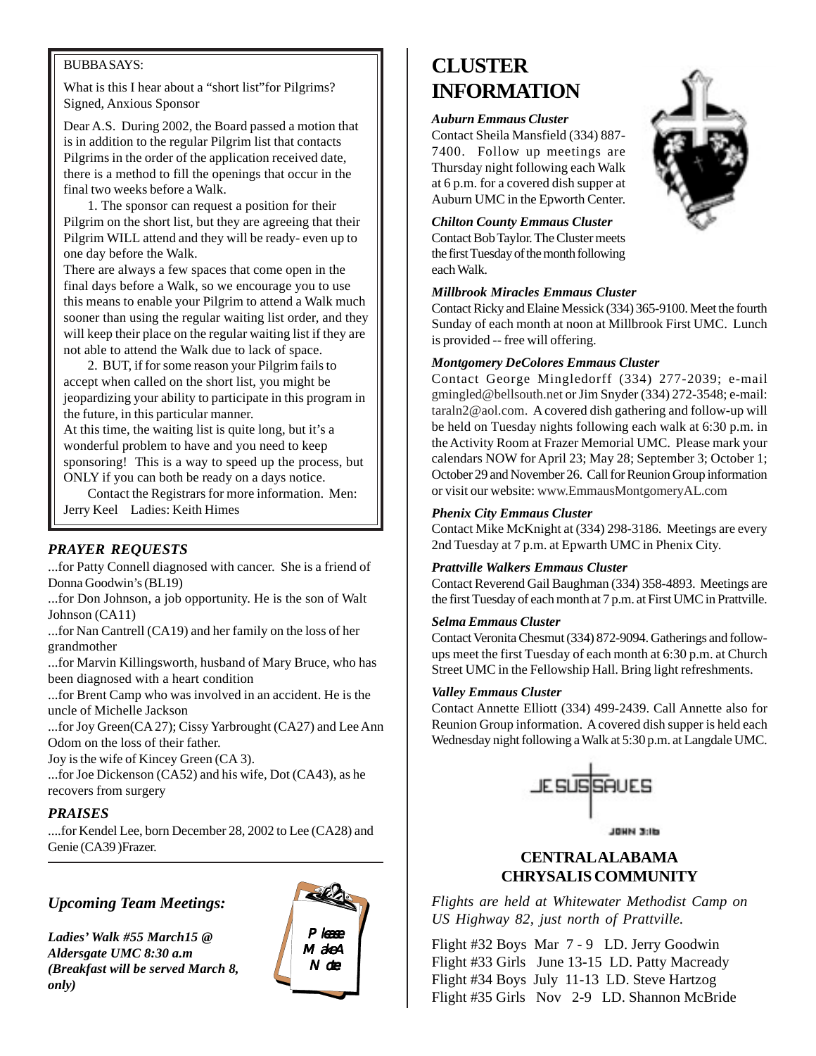#### BUBBA SAYS:

What is this I hear about a "short list"for Pilgrims? Signed, Anxious Sponsor

Dear A.S. During 2002, the Board passed a motion that is in addition to the regular Pilgrim list that contacts Pilgrims in the order of the application received date, there is a method to fill the openings that occur in the final two weeks before a Walk.

1. The sponsor can request a position for their Pilgrim on the short list, but they are agreeing that their Pilgrim WILL attend and they will be ready- even up to one day before the Walk.

There are always a few spaces that come open in the final days before a Walk, so we encourage you to use this means to enable your Pilgrim to attend a Walk much sooner than using the regular waiting list order, and they will keep their place on the regular waiting list if they are not able to attend the Walk due to lack of space.

2. BUT, if for some reason your Pilgrim fails to accept when called on the short list, you might be jeopardizing your ability to participate in this program in the future, in this particular manner.

At this time, the waiting list is quite long, but it's a wonderful problem to have and you need to keep sponsoring! This is a way to speed up the process, but ONLY if you can both be ready on a days notice.

Contact the Registrars for more information. Men: Jerry Keel Ladies: Keith Himes

### *PRAYER REQUESTS*

...for Patty Connell diagnosed with cancer. She is a friend of Donna Goodwin's (BL19)

...for Don Johnson, a job opportunity. He is the son of Walt Johnson (CA11)

...for Nan Cantrell (CA19) and her family on the loss of her grandmother

...for Marvin Killingsworth, husband of Mary Bruce, who has been diagnosed with a heart condition

...for Brent Camp who was involved in an accident. He is the uncle of Michelle Jackson

...for Joy Green(CA 27); Cissy Yarbrought (CA27) and Lee Ann Odom on the loss of their father.

Joy is the wife of Kincey Green (CA 3).

...for Joe Dickenson (CA52) and his wife, Dot (CA43), as he recovers from surgery

#### *PRAISES*

....for Kendel Lee, born December 28, 2002 to Lee (CA28) and Genie (CA39 )Frazer.

### *Upcoming Team Meetings:*

*Ladies' Walk #55 March15 @ Aldersgate UMC 8:30 a.m (Breakfast will be served March 8, only)*



# **CLUSTER INFORMATION**

#### *Auburn Emmaus Cluster*

Contact Sheila Mansfield (334) 887- 7400. Follow up meetings are Thursday night following each Walk at 6 p.m. for a covered dish supper at Auburn UMC in the Epworth Center.

#### *Chilton County Emmaus Cluster*

Contact Bob Taylor. The Cluster meets the first Tuesday of the month following each Walk.

#### *Millbrook Miracles Emmaus Cluster*

Contact Ricky and Elaine Messick (334) 365-9100. Meet the fourth Sunday of each month at noon at Millbrook First UMC. Lunch is provided -- free will offering.

#### *Montgomery DeColores Emmaus Cluster*

Contact George Mingledorff (334) 277-2039; e-mail gmingled@bellsouth.net or Jim Snyder (334) 272-3548; e-mail: taraln2@aol.com. A covered dish gathering and follow-up will be held on Tuesday nights following each walk at 6:30 p.m. in the Activity Room at Frazer Memorial UMC. Please mark your calendars NOW for April 23; May 28; September 3; October 1; October 29 and November 26. Call for Reunion Group information or visit our website: www.EmmausMontgomeryAL.com

#### *Phenix City Emmaus Cluster*

Contact Mike McKnight at (334) 298-3186. Meetings are every 2nd Tuesday at 7 p.m. at Epwarth UMC in Phenix City.

#### *Prattville Walkers Emmaus Cluster*

Contact Reverend Gail Baughman (334) 358-4893. Meetings are the first Tuesday of each month at 7 p.m. at First UMC in Prattville.

#### *Selma Emmaus Cluster*

Contact Veronita Chesmut (334) 872-9094. Gatherings and followups meet the first Tuesday of each month at 6:30 p.m. at Church Street UMC in the Fellowship Hall. Bring light refreshments.

#### *Valley Emmaus Cluster*

Contact Annette Elliott (334) 499-2439. Call Annette also for Reunion Group information. A covered dish supper is held each Wednesday night following a Walk at 5:30 p.m. at Langdale UMC.



JOHN 311b

### **CENTRAL ALABAMA CHRYSALIS COMMUNITY**

*Flights are held at Whitewater Methodist Camp on US Highway 82, just north of Prattville.*

Flight #32 Boys Mar 7 - 9 LD. Jerry Goodwin Flight #33 Girls June 13-15 LD. Patty Macready Flight #34 Boys July 11-13 LD. Steve Hartzog Flight #35 Girls Nov 2-9 LD. Shannon McBride